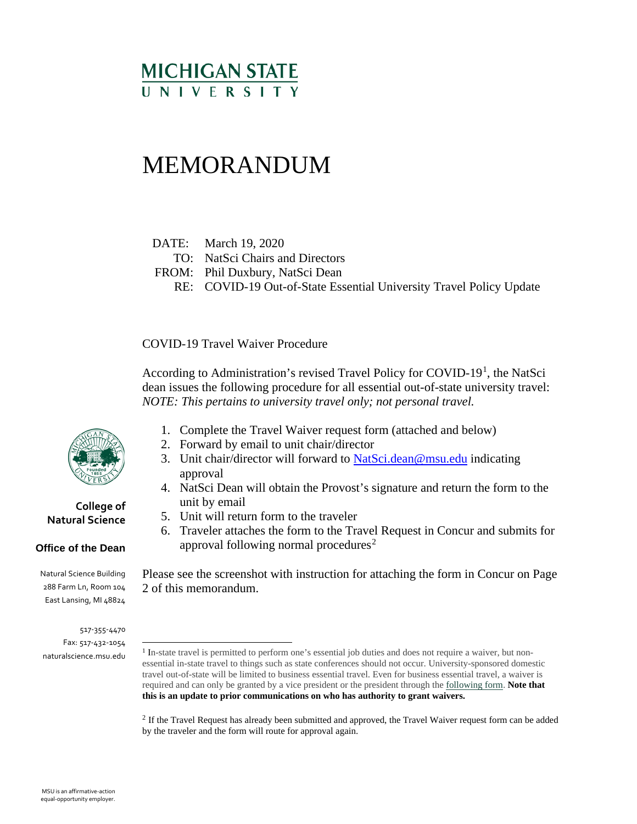## **MICHIGAN STATE** UNIVERSITY

# MEMORANDUM

DATE: March 19, 2020

- TO: NatSci Chairs and Directors
- FROM: Phil Duxbury, NatSci Dean
	- RE: COVID-19 Out-of-State Essential University Travel Policy Update

COVID-19 Travel Waiver Procedure

According to Administration's revised Travel Policy for COVID-[1](#page-0-0)9<sup>1</sup>, the NatSci dean issues the following procedure for all essential out-of-state university travel: *NOTE: This pertains to university travel only; not personal travel.*

- 1. Complete the Travel Waiver request form (attached and below)
- 2. Forward by email to unit chair/director
- 3. Unit chair/director will forward to NatSci, dean@msu.edu indicating approval
- 4. NatSci Dean will obtain the Provost's signature and return the form to the unit by email
- 5. Unit will return form to the traveler
- 6. Traveler attaches the form to the Travel Request in Concur and submits for approval following normal procedures<sup>[2](#page-0-1)</sup>

Please see the screenshot with instruction for attaching the form in Concur on Page 2 of this memorandum.

<sup>2</sup> If the Travel Request has already been submitted and approved, the Travel Waiver request form can be added by the traveler and the form will route for approval again.



#### **College of Natural Science**

#### **Office of the Dean**

Natural Science Building 288 Farm Ln, Room 104 East Lansing, MI 48824

<span id="page-0-1"></span><span id="page-0-0"></span><sup>517-355-4470</sup> Fax: 517-432-1054 naturalscience.msu.edu

<sup>1</sup> In-state travel is permitted to perform one's essential job duties and does not require a waiver, but nonessential in-state travel to things such as state conferences should not occur. University-sponsored domestic travel out-of-state will be limited to business essential travel. Even for business essential travel, a waiver is required and can only be granted by a vice president or the president through the [following form.](https://ctlr.msu.edu/download/travel/COVID-19TravelWaiver.pdf) **Note that this is an update to prior communications on who has authority to grant waivers.**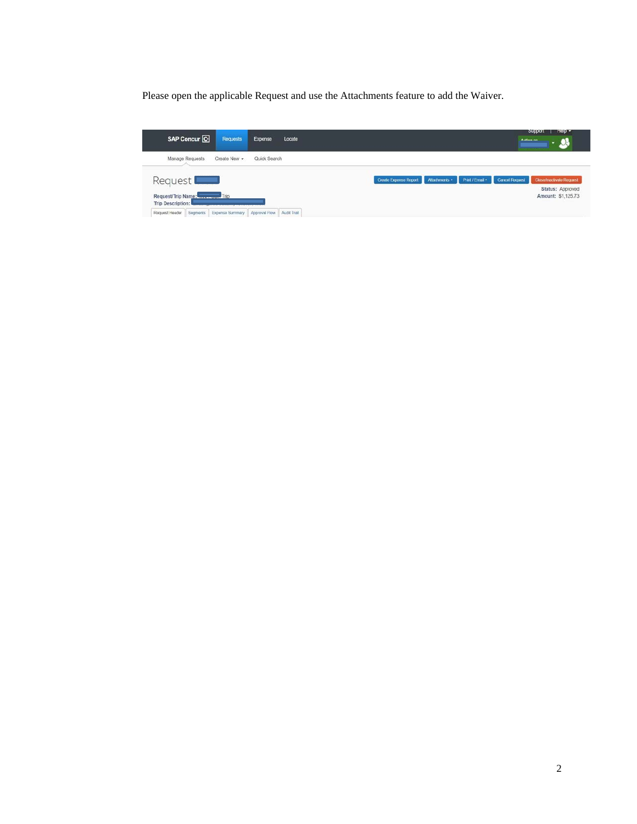Please open the applicable Request and use the Attachments feature to add the Waiver.